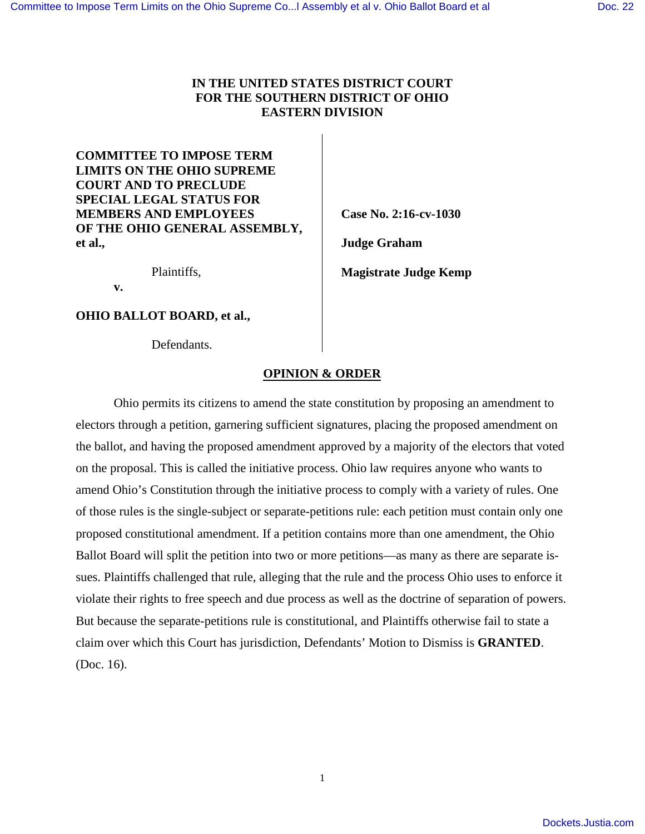# **IN THE UNITED STATES DISTRICT COURT FOR THE SOUTHERN DISTRICT OF OHIO EASTERN DIVISION**

**COMMITTEE TO IMPOSE TERM LIMITS ON THE OHIO SUPREME COURT AND TO PRECLUDE SPECIAL LEGAL STATUS FOR MEMBERS AND EMPLOYEES OF THE OHIO GENERAL ASSEMBLY, et al.,** 

Plaintiffs,

 **v.** 

**OHIO BALLOT BOARD, et al.,**

Defendants.

**Case No. 2:16-cv-1030** 

**Judge Graham** 

**Magistrate Judge Kemp**

# **OPINION & ORDER**

Ohio permits its citizens to amend the state constitution by proposing an amendment to electors through a petition, garnering sufficient signatures, placing the proposed amendment on the ballot, and having the proposed amendment approved by a majority of the electors that voted on the proposal. This is called the initiative process. Ohio law requires anyone who wants to amend Ohio's Constitution through the initiative process to comply with a variety of rules. One of those rules is the single-subject or separate-petitions rule: each petition must contain only one proposed constitutional amendment. If a petition contains more than one amendment, the Ohio Ballot Board will split the petition into two or more petitions—as many as there are separate issues. Plaintiffs challenged that rule, alleging that the rule and the process Ohio uses to enforce it violate their rights to free speech and due process as well as the doctrine of separation of powers. But because the separate-petitions rule is constitutional, and Plaintiffs otherwise fail to state a claim over which this Court has jurisdiction, Defendants' Motion to Dismiss is **GRANTED**. (Doc. 16).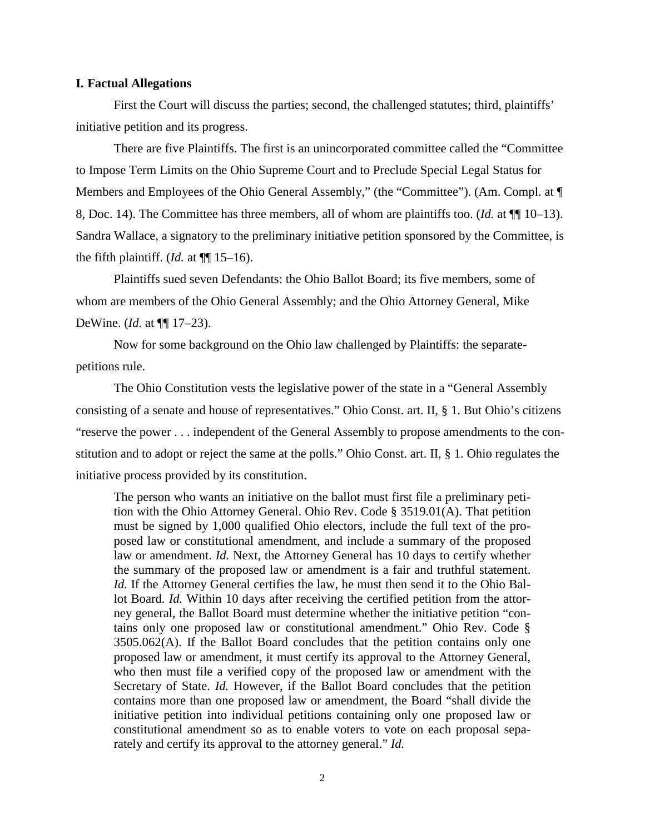## **I. Factual Allegations**

First the Court will discuss the parties; second, the challenged statutes; third, plaintiffs' initiative petition and its progress.

There are five Plaintiffs. The first is an unincorporated committee called the "Committee to Impose Term Limits on the Ohio Supreme Court and to Preclude Special Legal Status for Members and Employees of the Ohio General Assembly," (the "Committee"). (Am. Compl. at ¶ 8, Doc. 14). The Committee has three members, all of whom are plaintiffs too. (*Id.* at ¶¶ 10–13). Sandra Wallace, a signatory to the preliminary initiative petition sponsored by the Committee, is the fifth plaintiff. (*Id.* at  $\P$ [15–16).

Plaintiffs sued seven Defendants: the Ohio Ballot Board; its five members, some of whom are members of the Ohio General Assembly; and the Ohio Attorney General, Mike DeWine. (*Id.* at ¶¶ 17–23).

Now for some background on the Ohio law challenged by Plaintiffs: the separatepetitions rule.

The Ohio Constitution vests the legislative power of the state in a "General Assembly consisting of a senate and house of representatives." Ohio Const. art. II, § 1. But Ohio's citizens "reserve the power . . . independent of the General Assembly to propose amendments to the constitution and to adopt or reject the same at the polls." Ohio Const. art. II, § 1. Ohio regulates the initiative process provided by its constitution.

The person who wants an initiative on the ballot must first file a preliminary petition with the Ohio Attorney General. Ohio Rev. Code § 3519.01(A). That petition must be signed by 1,000 qualified Ohio electors, include the full text of the proposed law or constitutional amendment, and include a summary of the proposed law or amendment. *Id.* Next, the Attorney General has 10 days to certify whether the summary of the proposed law or amendment is a fair and truthful statement. *Id.* If the Attorney General certifies the law, he must then send it to the Ohio Ballot Board. *Id.* Within 10 days after receiving the certified petition from the attorney general, the Ballot Board must determine whether the initiative petition "contains only one proposed law or constitutional amendment." Ohio Rev. Code § 3505.062(A). If the Ballot Board concludes that the petition contains only one proposed law or amendment, it must certify its approval to the Attorney General, who then must file a verified copy of the proposed law or amendment with the Secretary of State. *Id.* However, if the Ballot Board concludes that the petition contains more than one proposed law or amendment, the Board "shall divide the initiative petition into individual petitions containing only one proposed law or constitutional amendment so as to enable voters to vote on each proposal separately and certify its approval to the attorney general." *Id.*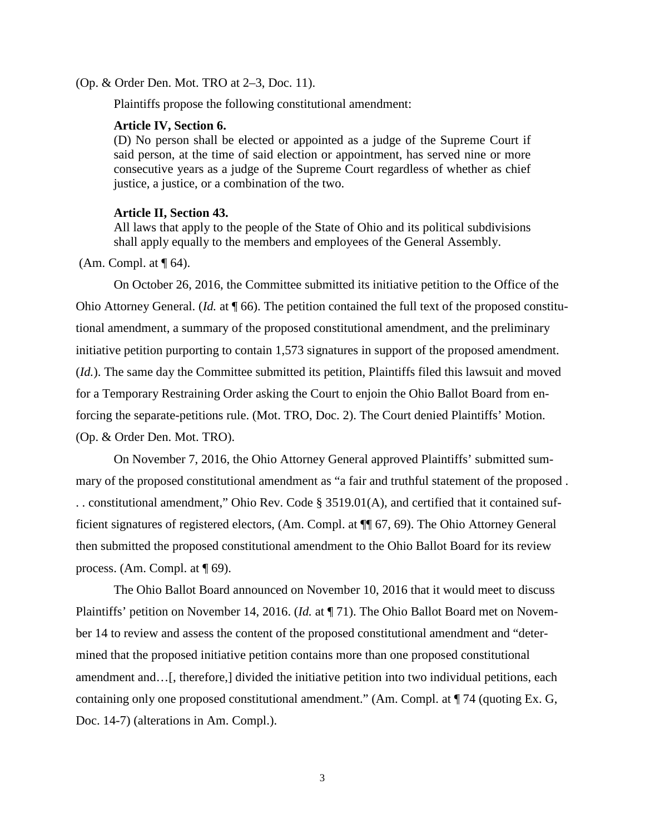(Op. & Order Den. Mot. TRO at 2–3, Doc. 11).

Plaintiffs propose the following constitutional amendment:

#### **Article IV, Section 6.**

(D) No person shall be elected or appointed as a judge of the Supreme Court if said person, at the time of said election or appointment, has served nine or more consecutive years as a judge of the Supreme Court regardless of whether as chief justice, a justice, or a combination of the two.

#### **Article II, Section 43.**

All laws that apply to the people of the State of Ohio and its political subdivisions shall apply equally to the members and employees of the General Assembly.

(Am. Compl. at  $\P$  64).

 On October 26, 2016, the Committee submitted its initiative petition to the Office of the Ohio Attorney General. (*Id.* at ¶ 66). The petition contained the full text of the proposed constitutional amendment, a summary of the proposed constitutional amendment, and the preliminary initiative petition purporting to contain 1,573 signatures in support of the proposed amendment. (*Id.*). The same day the Committee submitted its petition, Plaintiffs filed this lawsuit and moved for a Temporary Restraining Order asking the Court to enjoin the Ohio Ballot Board from enforcing the separate-petitions rule. (Mot. TRO, Doc. 2). The Court denied Plaintiffs' Motion. (Op. & Order Den. Mot. TRO).

On November 7, 2016, the Ohio Attorney General approved Plaintiffs' submitted summary of the proposed constitutional amendment as "a fair and truthful statement of the proposed . . . constitutional amendment," Ohio Rev. Code § 3519.01(A), and certified that it contained sufficient signatures of registered electors, (Am. Compl. at ¶¶ 67, 69). The Ohio Attorney General then submitted the proposed constitutional amendment to the Ohio Ballot Board for its review process. (Am. Compl. at ¶ 69).

 The Ohio Ballot Board announced on November 10, 2016 that it would meet to discuss Plaintiffs' petition on November 14, 2016. (*Id.* at ¶ 71). The Ohio Ballot Board met on November 14 to review and assess the content of the proposed constitutional amendment and "determined that the proposed initiative petition contains more than one proposed constitutional amendment and…[, therefore,] divided the initiative petition into two individual petitions, each containing only one proposed constitutional amendment." (Am. Compl. at ¶ 74 (quoting Ex. G, Doc. 14-7) (alterations in Am. Compl.).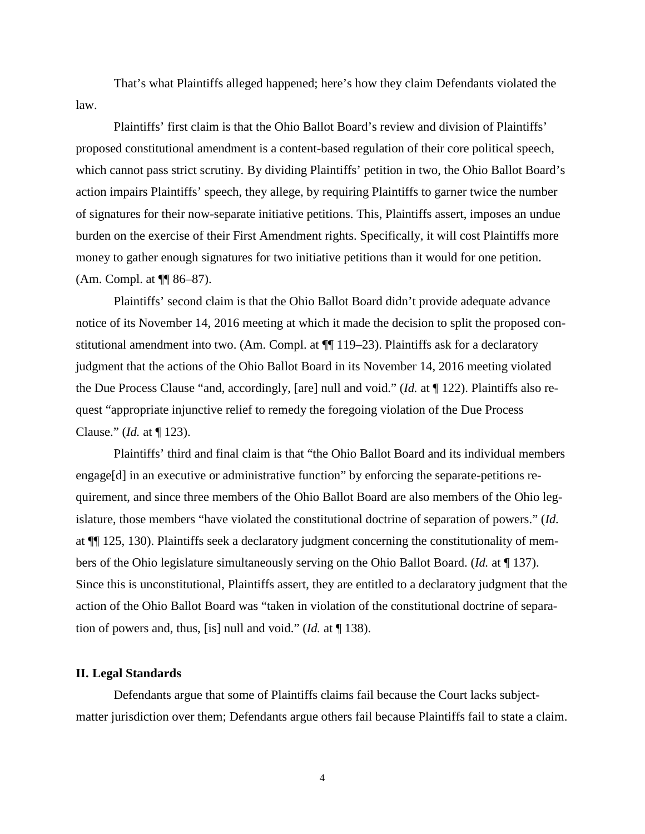That's what Plaintiffs alleged happened; here's how they claim Defendants violated the law.

Plaintiffs' first claim is that the Ohio Ballot Board's review and division of Plaintiffs' proposed constitutional amendment is a content-based regulation of their core political speech, which cannot pass strict scrutiny. By dividing Plaintiffs' petition in two, the Ohio Ballot Board's action impairs Plaintiffs' speech, they allege, by requiring Plaintiffs to garner twice the number of signatures for their now-separate initiative petitions. This, Plaintiffs assert, imposes an undue burden on the exercise of their First Amendment rights. Specifically, it will cost Plaintiffs more money to gather enough signatures for two initiative petitions than it would for one petition. (Am. Compl. at ¶¶ 86–87).

Plaintiffs' second claim is that the Ohio Ballot Board didn't provide adequate advance notice of its November 14, 2016 meeting at which it made the decision to split the proposed constitutional amendment into two. (Am. Compl. at ¶¶ 119–23). Plaintiffs ask for a declaratory judgment that the actions of the Ohio Ballot Board in its November 14, 2016 meeting violated the Due Process Clause "and, accordingly, [are] null and void." (*Id.* at ¶ 122). Plaintiffs also request "appropriate injunctive relief to remedy the foregoing violation of the Due Process Clause." (*Id.* at ¶ 123).

Plaintiffs' third and final claim is that "the Ohio Ballot Board and its individual members engage[d] in an executive or administrative function" by enforcing the separate-petitions requirement, and since three members of the Ohio Ballot Board are also members of the Ohio legislature, those members "have violated the constitutional doctrine of separation of powers." (*Id.* at ¶¶ 125, 130). Plaintiffs seek a declaratory judgment concerning the constitutionality of members of the Ohio legislature simultaneously serving on the Ohio Ballot Board. (*Id.* at ¶ 137). Since this is unconstitutional, Plaintiffs assert, they are entitled to a declaratory judgment that the action of the Ohio Ballot Board was "taken in violation of the constitutional doctrine of separation of powers and, thus, [is] null and void." (*Id.* at ¶ 138).

# **II. Legal Standards**

Defendants argue that some of Plaintiffs claims fail because the Court lacks subjectmatter jurisdiction over them; Defendants argue others fail because Plaintiffs fail to state a claim.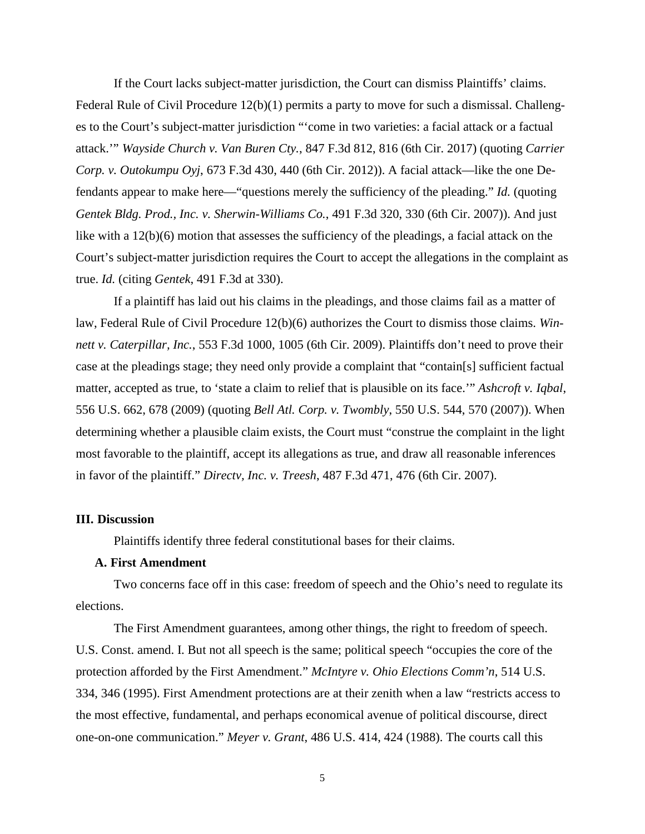If the Court lacks subject-matter jurisdiction, the Court can dismiss Plaintiffs' claims. Federal Rule of Civil Procedure 12(b)(1) permits a party to move for such a dismissal. Challenges to the Court's subject-matter jurisdiction "'come in two varieties: a facial attack or a factual attack.'" *Wayside Church v. Van Buren Cty.*, 847 F.3d 812, 816 (6th Cir. 2017) (quoting *Carrier Corp. v. Outokumpu Oyj*, 673 F.3d 430, 440 (6th Cir. 2012)). A facial attack—like the one Defendants appear to make here—"questions merely the sufficiency of the pleading." *Id.* (quoting *Gentek Bldg. Prod., Inc. v. Sherwin-Williams Co.*, 491 F.3d 320, 330 (6th Cir. 2007)). And just like with a 12(b)(6) motion that assesses the sufficiency of the pleadings, a facial attack on the Court's subject-matter jurisdiction requires the Court to accept the allegations in the complaint as true. *Id.* (citing *Gentek*, 491 F.3d at 330).

If a plaintiff has laid out his claims in the pleadings, and those claims fail as a matter of law, Federal Rule of Civil Procedure 12(b)(6) authorizes the Court to dismiss those claims. *Winnett v. Caterpillar, Inc.*, 553 F.3d 1000, 1005 (6th Cir. 2009). Plaintiffs don't need to prove their case at the pleadings stage; they need only provide a complaint that "contain[s] sufficient factual matter, accepted as true, to 'state a claim to relief that is plausible on its face.'" *Ashcroft v. Iqbal*, 556 U.S. 662, 678 (2009) (quoting *Bell Atl. Corp. v. Twombly*, 550 U.S. 544, 570 (2007)). When determining whether a plausible claim exists, the Court must "construe the complaint in the light most favorable to the plaintiff, accept its allegations as true, and draw all reasonable inferences in favor of the plaintiff." *Directv, Inc. v. Treesh*, 487 F.3d 471, 476 (6th Cir. 2007).

#### **III. Discussion**

Plaintiffs identify three federal constitutional bases for their claims.

## **A. First Amendment**

Two concerns face off in this case: freedom of speech and the Ohio's need to regulate its elections.

The First Amendment guarantees, among other things, the right to freedom of speech. U.S. Const. amend. I. But not all speech is the same; political speech "occupies the core of the protection afforded by the First Amendment." *McIntyre v. Ohio Elections Comm'n*, 514 U.S. 334, 346 (1995). First Amendment protections are at their zenith when a law "restricts access to the most effective, fundamental, and perhaps economical avenue of political discourse, direct one-on-one communication." *Meyer v. Grant*, 486 U.S. 414, 424 (1988). The courts call this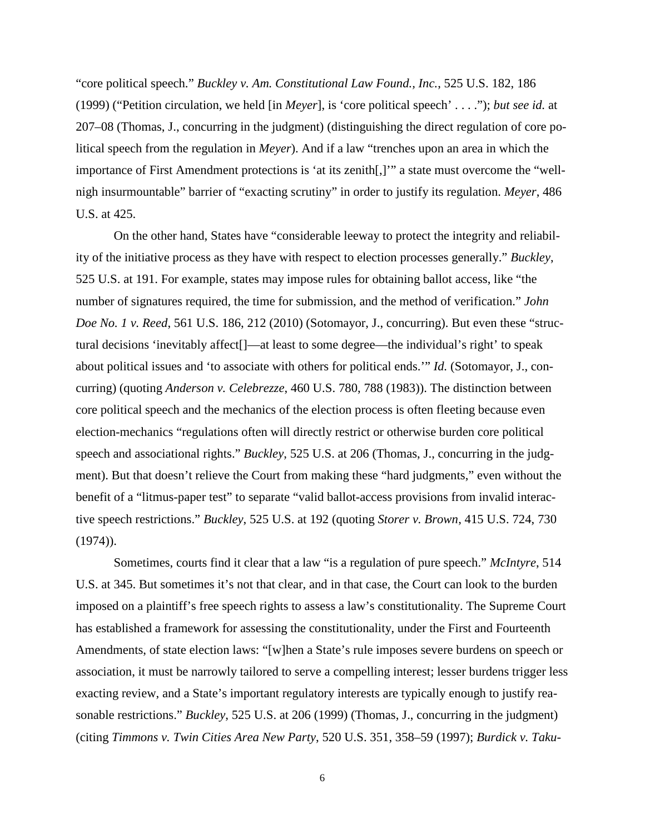"core political speech." *Buckley v. Am. Constitutional Law Found., Inc.*, 525 U.S. 182, 186 (1999) ("Petition circulation, we held [in *Meyer*], is 'core political speech' . . . ."); *but see id.* at 207–08 (Thomas, J., concurring in the judgment) (distinguishing the direct regulation of core political speech from the regulation in *Meyer*). And if a law "trenches upon an area in which the importance of First Amendment protections is 'at its zenith[,]'" a state must overcome the "wellnigh insurmountable" barrier of "exacting scrutiny" in order to justify its regulation. *Meyer*, 486 U.S. at 425.

 On the other hand, States have "considerable leeway to protect the integrity and reliability of the initiative process as they have with respect to election processes generally." *Buckley*, 525 U.S. at 191. For example, states may impose rules for obtaining ballot access, like "the number of signatures required, the time for submission, and the method of verification." *John Doe No. 1 v. Reed*, 561 U.S. 186, 212 (2010) (Sotomayor, J., concurring). But even these "structural decisions 'inevitably affect[]—at least to some degree—the individual's right' to speak about political issues and 'to associate with others for political ends.'" *Id.* (Sotomayor, J., concurring) (quoting *Anderson v. Celebrezze*, 460 U.S. 780, 788 (1983)). The distinction between core political speech and the mechanics of the election process is often fleeting because even election-mechanics "regulations often will directly restrict or otherwise burden core political speech and associational rights." *Buckley*, 525 U.S. at 206 (Thomas, J., concurring in the judgment). But that doesn't relieve the Court from making these "hard judgments," even without the benefit of a "litmus-paper test" to separate "valid ballot-access provisions from invalid interactive speech restrictions." *Buckley*, 525 U.S. at 192 (quoting *Storer v. Brown*, 415 U.S. 724, 730  $(1974)$ .

 Sometimes, courts find it clear that a law "is a regulation of pure speech." *McIntyre*, 514 U.S. at 345. But sometimes it's not that clear, and in that case, the Court can look to the burden imposed on a plaintiff's free speech rights to assess a law's constitutionality. The Supreme Court has established a framework for assessing the constitutionality, under the First and Fourteenth Amendments, of state election laws: "[w]hen a State's rule imposes severe burdens on speech or association, it must be narrowly tailored to serve a compelling interest; lesser burdens trigger less exacting review, and a State's important regulatory interests are typically enough to justify reasonable restrictions." *Buckley*, 525 U.S. at 206 (1999) (Thomas, J., concurring in the judgment) (citing *Timmons v. Twin Cities Area New Party*, 520 U.S. 351, 358–59 (1997); *Burdick v. Taku-*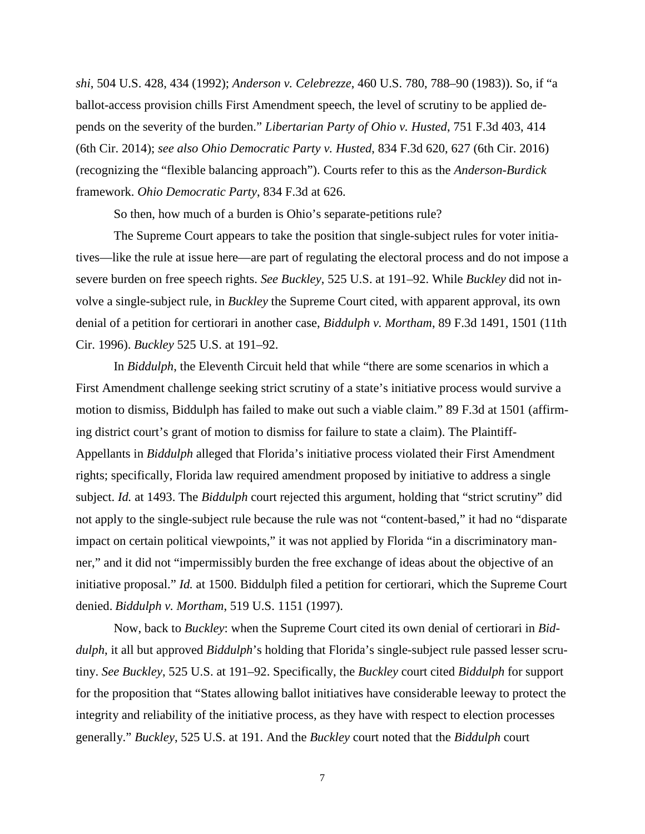*shi*, 504 U.S. 428, 434 (1992); *Anderson v. Celebrezze*, 460 U.S. 780, 788–90 (1983)). So, if "a ballot-access provision chills First Amendment speech, the level of scrutiny to be applied depends on the severity of the burden." *Libertarian Party of Ohio v. Husted*, 751 F.3d 403, 414 (6th Cir. 2014); *see also Ohio Democratic Party v. Husted*, 834 F.3d 620, 627 (6th Cir. 2016) (recognizing the "flexible balancing approach"). Courts refer to this as the *Anderson*-*Burdick* framework. *Ohio Democratic Party*, 834 F.3d at 626.

So then, how much of a burden is Ohio's separate-petitions rule?

 The Supreme Court appears to take the position that single-subject rules for voter initiatives—like the rule at issue here—are part of regulating the electoral process and do not impose a severe burden on free speech rights. *See Buckley*, 525 U.S. at 191–92. While *Buckley* did not involve a single-subject rule, in *Buckley* the Supreme Court cited, with apparent approval, its own denial of a petition for certiorari in another case, *Biddulph v. Mortham*, 89 F.3d 1491, 1501 (11th Cir. 1996). *Buckley* 525 U.S. at 191–92.

 In *Biddulph*, the Eleventh Circuit held that while "there are some scenarios in which a First Amendment challenge seeking strict scrutiny of a state's initiative process would survive a motion to dismiss, Biddulph has failed to make out such a viable claim." 89 F.3d at 1501 (affirming district court's grant of motion to dismiss for failure to state a claim). The Plaintiff-Appellants in *Biddulph* alleged that Florida's initiative process violated their First Amendment rights; specifically, Florida law required amendment proposed by initiative to address a single subject. *Id.* at 1493. The *Biddulph* court rejected this argument, holding that "strict scrutiny" did not apply to the single-subject rule because the rule was not "content-based," it had no "disparate impact on certain political viewpoints," it was not applied by Florida "in a discriminatory manner," and it did not "impermissibly burden the free exchange of ideas about the objective of an initiative proposal." *Id.* at 1500. Biddulph filed a petition for certiorari, which the Supreme Court denied. *Biddulph v. Mortham*, 519 U.S. 1151 (1997).

 Now, back to *Buckley*: when the Supreme Court cited its own denial of certiorari in *Biddulph*, it all but approved *Biddulph*'s holding that Florida's single-subject rule passed lesser scrutiny. *See Buckley*, 525 U.S. at 191–92. Specifically, the *Buckley* court cited *Biddulph* for support for the proposition that "States allowing ballot initiatives have considerable leeway to protect the integrity and reliability of the initiative process, as they have with respect to election processes generally." *Buckley*, 525 U.S. at 191. And the *Buckley* court noted that the *Biddulph* court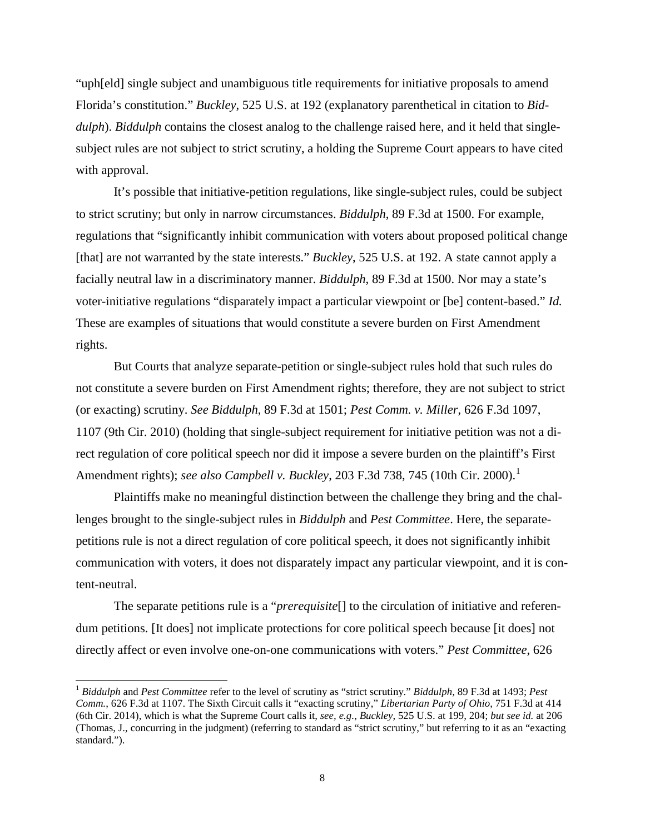"uph[eld] single subject and unambiguous title requirements for initiative proposals to amend Florida's constitution." *Buckley*, 525 U.S. at 192 (explanatory parenthetical in citation to *Biddulph*). *Biddulph* contains the closest analog to the challenge raised here, and it held that singlesubject rules are not subject to strict scrutiny, a holding the Supreme Court appears to have cited with approval.

It's possible that initiative-petition regulations, like single-subject rules, could be subject to strict scrutiny; but only in narrow circumstances. *Biddulph*, 89 F.3d at 1500. For example, regulations that "significantly inhibit communication with voters about proposed political change [that] are not warranted by the state interests." *Buckley*, 525 U.S. at 192. A state cannot apply a facially neutral law in a discriminatory manner. *Biddulph*, 89 F.3d at 1500. Nor may a state's voter-initiative regulations "disparately impact a particular viewpoint or [be] content-based." *Id.* These are examples of situations that would constitute a severe burden on First Amendment rights.

 But Courts that analyze separate-petition or single-subject rules hold that such rules do not constitute a severe burden on First Amendment rights; therefore, they are not subject to strict (or exacting) scrutiny. *See Biddulph*, 89 F.3d at 1501; *Pest Comm. v. Miller*, 626 F.3d 1097, 1107 (9th Cir. 2010) (holding that single-subject requirement for initiative petition was not a direct regulation of core political speech nor did it impose a severe burden on the plaintiff's First Amendment rights); *see also Campbell v. Buckley*, 203 F.3d 738, 745 ([1](#page-7-0)0th Cir. 2000).<sup>1</sup>

 Plaintiffs make no meaningful distinction between the challenge they bring and the challenges brought to the single-subject rules in *Biddulph* and *Pest Committee*. Here, the separatepetitions rule is not a direct regulation of core political speech, it does not significantly inhibit communication with voters, it does not disparately impact any particular viewpoint, and it is content-neutral.

The separate petitions rule is a "*prerequisite*[] to the circulation of initiative and referendum petitions. [It does] not implicate protections for core political speech because [it does] not directly affect or even involve one-on-one communications with voters." *Pest Committee*, 626

 $\overline{a}$ 

<span id="page-7-0"></span><sup>1</sup> *Biddulph* and *Pest Committee* refer to the level of scrutiny as "strict scrutiny." *Biddulph*, 89 F.3d at 1493; *Pest Comm.*, 626 F.3d at 1107. The Sixth Circuit calls it "exacting scrutiny," *Libertarian Party of Ohio*, 751 F.3d at 414 (6th Cir. 2014), which is what the Supreme Court calls it, *see, e.g.*, *Buckley*, 525 U.S. at 199, 204; *but see id.* at 206 (Thomas, J., concurring in the judgment) (referring to standard as "strict scrutiny," but referring to it as an "exacting standard.").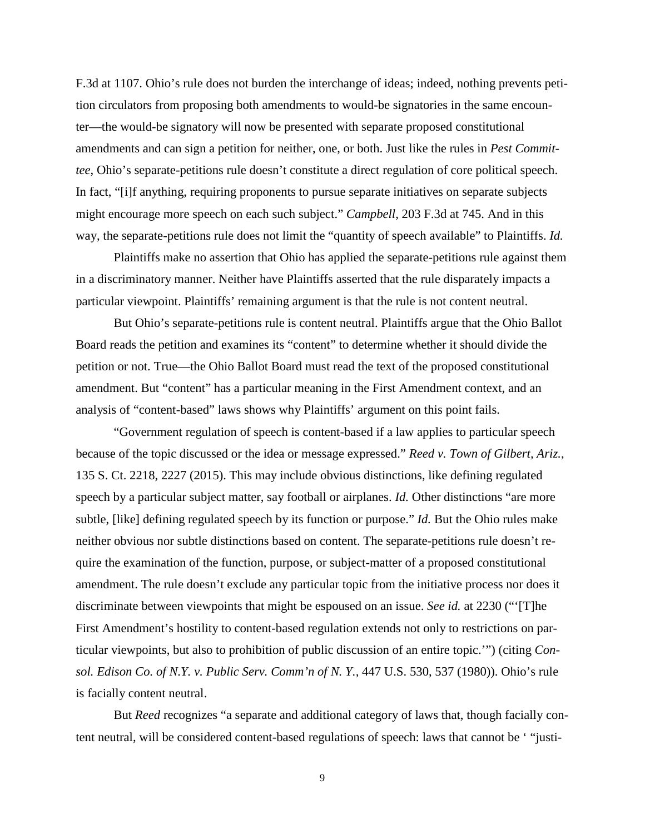F.3d at 1107. Ohio's rule does not burden the interchange of ideas; indeed, nothing prevents petition circulators from proposing both amendments to would-be signatories in the same encounter—the would-be signatory will now be presented with separate proposed constitutional amendments and can sign a petition for neither, one, or both. Just like the rules in *Pest Committee*, Ohio's separate-petitions rule doesn't constitute a direct regulation of core political speech. In fact, "[i]f anything, requiring proponents to pursue separate initiatives on separate subjects might encourage more speech on each such subject." *Campbell*, 203 F.3d at 745. And in this way, the separate-petitions rule does not limit the "quantity of speech available" to Plaintiffs. *Id.*

Plaintiffs make no assertion that Ohio has applied the separate-petitions rule against them in a discriminatory manner. Neither have Plaintiffs asserted that the rule disparately impacts a particular viewpoint. Plaintiffs' remaining argument is that the rule is not content neutral.

 But Ohio's separate-petitions rule is content neutral. Plaintiffs argue that the Ohio Ballot Board reads the petition and examines its "content" to determine whether it should divide the petition or not. True—the Ohio Ballot Board must read the text of the proposed constitutional amendment. But "content" has a particular meaning in the First Amendment context, and an analysis of "content-based" laws shows why Plaintiffs' argument on this point fails.

 "Government regulation of speech is content-based if a law applies to particular speech because of the topic discussed or the idea or message expressed." *Reed v. Town of Gilbert, Ariz.*, 135 S. Ct. 2218, 2227 (2015). This may include obvious distinctions, like defining regulated speech by a particular subject matter, say football or airplanes. *Id.* Other distinctions "are more subtle, [like] defining regulated speech by its function or purpose." *Id.* But the Ohio rules make neither obvious nor subtle distinctions based on content. The separate-petitions rule doesn't require the examination of the function, purpose, or subject-matter of a proposed constitutional amendment. The rule doesn't exclude any particular topic from the initiative process nor does it discriminate between viewpoints that might be espoused on an issue. *See id.* at 2230 ("'[T]he First Amendment's hostility to content-based regulation extends not only to restrictions on particular viewpoints, but also to prohibition of public discussion of an entire topic.'") (citing *Consol. Edison Co. of N.Y. v. Public Serv. Comm'n of N. Y.,* 447 U.S. 530, 537 (1980)). Ohio's rule is facially content neutral.

But *Reed* recognizes "a separate and additional category of laws that, though facially content neutral, will be considered content-based regulations of speech: laws that cannot be ' "justi-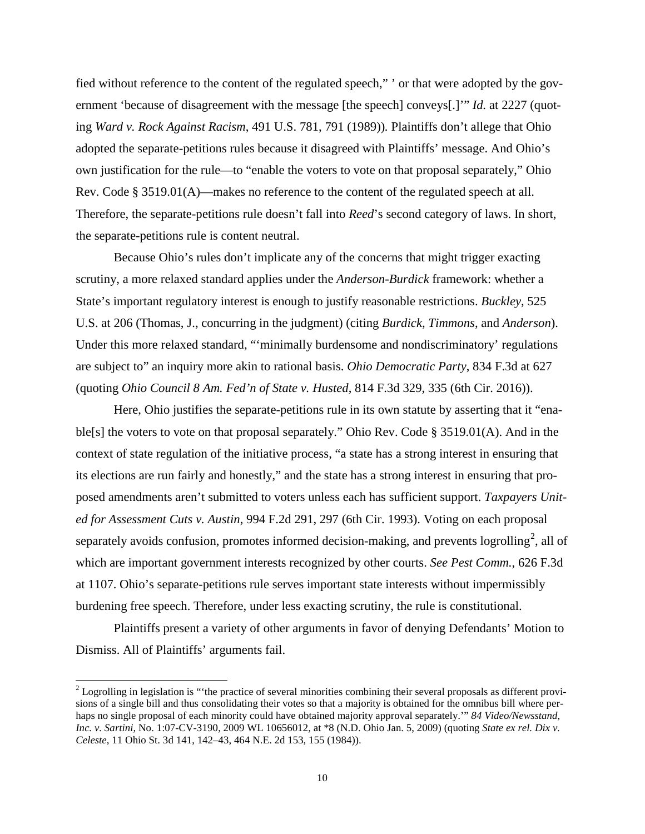fied without reference to the content of the regulated speech," ' or that were adopted by the government 'because of disagreement with the message [the speech] conveys[.]'" *Id.* at 2227 (quoting *Ward v. Rock Against Racism*, 491 U.S. 781, 791 (1989))*.* Plaintiffs don't allege that Ohio adopted the separate-petitions rules because it disagreed with Plaintiffs' message. And Ohio's own justification for the rule—to "enable the voters to vote on that proposal separately," Ohio Rev. Code § 3519.01(A)—makes no reference to the content of the regulated speech at all. Therefore, the separate-petitions rule doesn't fall into *Reed*'s second category of laws. In short, the separate-petitions rule is content neutral.

Because Ohio's rules don't implicate any of the concerns that might trigger exacting scrutiny, a more relaxed standard applies under the *Anderson*-*Burdick* framework: whether a State's important regulatory interest is enough to justify reasonable restrictions. *Buckley*, 525 U.S. at 206 (Thomas, J., concurring in the judgment) (citing *Burdick*, *Timmons*, and *Anderson*). Under this more relaxed standard, "'minimally burdensome and nondiscriminatory' regulations are subject to" an inquiry more akin to rational basis. *Ohio Democratic Party*, 834 F.3d at 627 (quoting *Ohio Council 8 Am. Fed'n of State v. Husted*, 814 F.3d 329, 335 (6th Cir. 2016)).

Here, Ohio justifies the separate-petitions rule in its own statute by asserting that it "enable[s] the voters to vote on that proposal separately." Ohio Rev. Code § 3519.01(A). And in the context of state regulation of the initiative process, "a state has a strong interest in ensuring that its elections are run fairly and honestly," and the state has a strong interest in ensuring that proposed amendments aren't submitted to voters unless each has sufficient support. *Taxpayers United for Assessment Cuts v. Austin*, 994 F.2d 291, 297 (6th Cir. 1993). Voting on each proposal separately avoids confusion, promotes informed decision-making, and prevents logrolling<sup>[2](#page-9-0)</sup>, all of which are important government interests recognized by other courts. *See Pest Comm.*, 626 F.3d at 1107. Ohio's separate-petitions rule serves important state interests without impermissibly burdening free speech. Therefore, under less exacting scrutiny, the rule is constitutional.

Plaintiffs present a variety of other arguments in favor of denying Defendants' Motion to Dismiss. All of Plaintiffs' arguments fail.

-

<span id="page-9-0"></span> $2$  Logrolling in legislation is "the practice of several minorities combining their several proposals as different provisions of a single bill and thus consolidating their votes so that a majority is obtained for the omnibus bill where perhaps no single proposal of each minority could have obtained majority approval separately.'" *84 Video/Newsstand, Inc. v. Sartini*, No. 1:07-CV-3190, 2009 WL 10656012, at \*8 (N.D. Ohio Jan. 5, 2009) (quoting *State ex rel. Dix v. Celeste*, 11 Ohio St. 3d 141, 142–43, 464 N.E. 2d 153, 155 (1984)).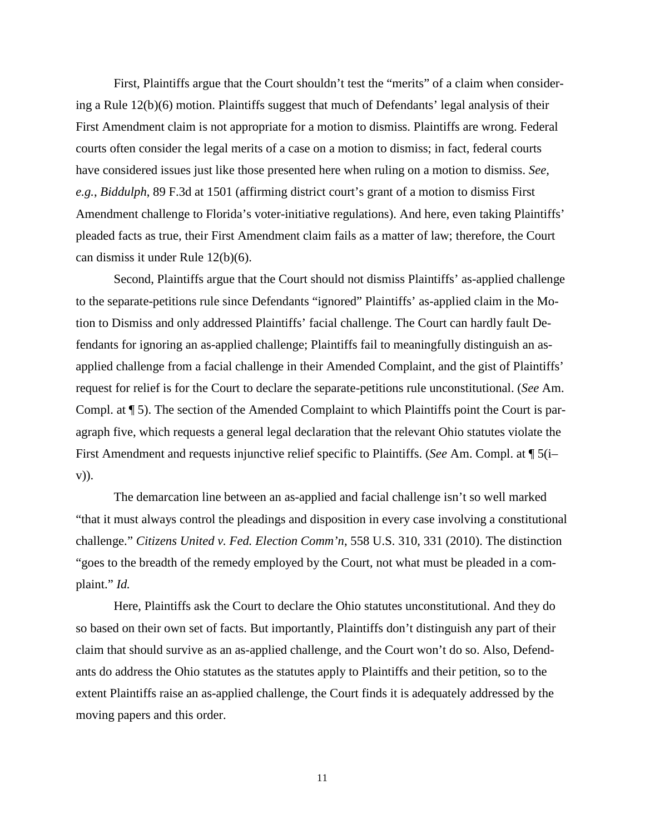First, Plaintiffs argue that the Court shouldn't test the "merits" of a claim when considering a Rule 12(b)(6) motion. Plaintiffs suggest that much of Defendants' legal analysis of their First Amendment claim is not appropriate for a motion to dismiss. Plaintiffs are wrong. Federal courts often consider the legal merits of a case on a motion to dismiss; in fact, federal courts have considered issues just like those presented here when ruling on a motion to dismiss. *See, e.g.*, *Biddulph*, 89 F.3d at 1501 (affirming district court's grant of a motion to dismiss First Amendment challenge to Florida's voter-initiative regulations). And here, even taking Plaintiffs' pleaded facts as true, their First Amendment claim fails as a matter of law; therefore, the Court can dismiss it under Rule 12(b)(6).

 Second, Plaintiffs argue that the Court should not dismiss Plaintiffs' as-applied challenge to the separate-petitions rule since Defendants "ignored" Plaintiffs' as-applied claim in the Motion to Dismiss and only addressed Plaintiffs' facial challenge. The Court can hardly fault Defendants for ignoring an as-applied challenge; Plaintiffs fail to meaningfully distinguish an asapplied challenge from a facial challenge in their Amended Complaint, and the gist of Plaintiffs' request for relief is for the Court to declare the separate-petitions rule unconstitutional. (*See* Am. Compl. at ¶ 5). The section of the Amended Complaint to which Plaintiffs point the Court is paragraph five, which requests a general legal declaration that the relevant Ohio statutes violate the First Amendment and requests injunctive relief specific to Plaintiffs. (*See* Am. Compl. at ¶ 5(i– v)).

The demarcation line between an as-applied and facial challenge isn't so well marked "that it must always control the pleadings and disposition in every case involving a constitutional challenge." *Citizens United v. Fed. Election Comm'n*, 558 U.S. 310, 331 (2010). The distinction "goes to the breadth of the remedy employed by the Court, not what must be pleaded in a complaint." *Id.*

 Here, Plaintiffs ask the Court to declare the Ohio statutes unconstitutional. And they do so based on their own set of facts. But importantly, Plaintiffs don't distinguish any part of their claim that should survive as an as-applied challenge, and the Court won't do so. Also, Defendants do address the Ohio statutes as the statutes apply to Plaintiffs and their petition, so to the extent Plaintiffs raise an as-applied challenge, the Court finds it is adequately addressed by the moving papers and this order.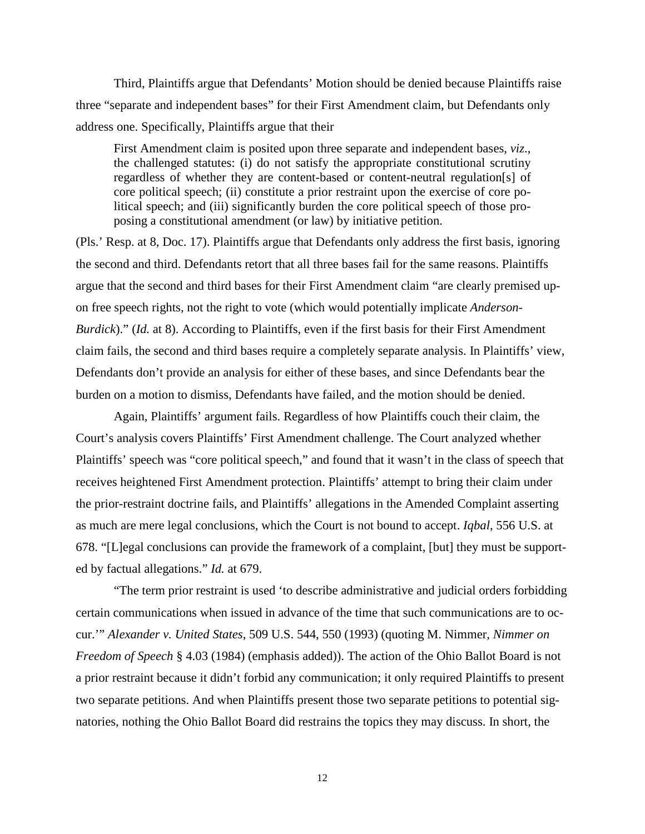Third, Plaintiffs argue that Defendants' Motion should be denied because Plaintiffs raise three "separate and independent bases" for their First Amendment claim, but Defendants only address one. Specifically, Plaintiffs argue that their

First Amendment claim is posited upon three separate and independent bases, *viz*., the challenged statutes: (i) do not satisfy the appropriate constitutional scrutiny regardless of whether they are content-based or content-neutral regulation[s] of core political speech; (ii) constitute a prior restraint upon the exercise of core political speech; and (iii) significantly burden the core political speech of those proposing a constitutional amendment (or law) by initiative petition.

(Pls.' Resp. at 8, Doc. 17). Plaintiffs argue that Defendants only address the first basis, ignoring the second and third. Defendants retort that all three bases fail for the same reasons. Plaintiffs argue that the second and third bases for their First Amendment claim "are clearly premised upon free speech rights, not the right to vote (which would potentially implicate *Anderson-Burdick*)." (*Id.* at 8). According to Plaintiffs, even if the first basis for their First Amendment claim fails, the second and third bases require a completely separate analysis. In Plaintiffs' view, Defendants don't provide an analysis for either of these bases, and since Defendants bear the burden on a motion to dismiss, Defendants have failed, and the motion should be denied.

Again, Plaintiffs' argument fails. Regardless of how Plaintiffs couch their claim, the Court's analysis covers Plaintiffs' First Amendment challenge. The Court analyzed whether Plaintiffs' speech was "core political speech," and found that it wasn't in the class of speech that receives heightened First Amendment protection. Plaintiffs' attempt to bring their claim under the prior-restraint doctrine fails, and Plaintiffs' allegations in the Amended Complaint asserting as much are mere legal conclusions, which the Court is not bound to accept. *Iqbal*, 556 U.S. at 678. "[L]egal conclusions can provide the framework of a complaint, [but] they must be supported by factual allegations." *Id.* at 679.

 "The term prior restraint is used 'to describe administrative and judicial orders forbidding certain communications when issued in advance of the time that such communications are to occur.'" *Alexander v. United States*, 509 U.S. 544, 550 (1993) (quoting M. Nimmer, *Nimmer on Freedom of Speech* § 4.03 (1984) (emphasis added)). The action of the Ohio Ballot Board is not a prior restraint because it didn't forbid any communication; it only required Plaintiffs to present two separate petitions. And when Plaintiffs present those two separate petitions to potential signatories, nothing the Ohio Ballot Board did restrains the topics they may discuss. In short, the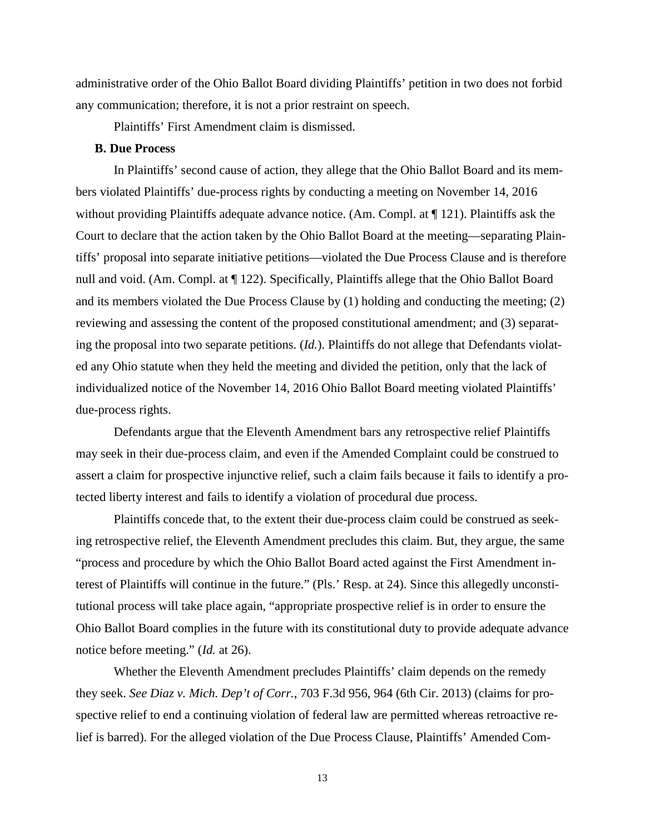administrative order of the Ohio Ballot Board dividing Plaintiffs' petition in two does not forbid any communication; therefore, it is not a prior restraint on speech.

Plaintiffs' First Amendment claim is dismissed.

### **B. Due Process**

 In Plaintiffs' second cause of action, they allege that the Ohio Ballot Board and its members violated Plaintiffs' due-process rights by conducting a meeting on November 14, 2016 without providing Plaintiffs adequate advance notice. (Am. Compl. at ¶ 121). Plaintiffs ask the Court to declare that the action taken by the Ohio Ballot Board at the meeting—separating Plaintiffs' proposal into separate initiative petitions—violated the Due Process Clause and is therefore null and void. (Am. Compl. at ¶ 122). Specifically, Plaintiffs allege that the Ohio Ballot Board and its members violated the Due Process Clause by (1) holding and conducting the meeting; (2) reviewing and assessing the content of the proposed constitutional amendment; and (3) separating the proposal into two separate petitions. (*Id.*). Plaintiffs do not allege that Defendants violated any Ohio statute when they held the meeting and divided the petition, only that the lack of individualized notice of the November 14, 2016 Ohio Ballot Board meeting violated Plaintiffs' due-process rights.

Defendants argue that the Eleventh Amendment bars any retrospective relief Plaintiffs may seek in their due-process claim, and even if the Amended Complaint could be construed to assert a claim for prospective injunctive relief, such a claim fails because it fails to identify a protected liberty interest and fails to identify a violation of procedural due process.

Plaintiffs concede that, to the extent their due-process claim could be construed as seeking retrospective relief, the Eleventh Amendment precludes this claim. But, they argue, the same "process and procedure by which the Ohio Ballot Board acted against the First Amendment interest of Plaintiffs will continue in the future." (Pls.' Resp. at 24). Since this allegedly unconstitutional process will take place again, "appropriate prospective relief is in order to ensure the Ohio Ballot Board complies in the future with its constitutional duty to provide adequate advance notice before meeting." (*Id.* at 26).

Whether the Eleventh Amendment precludes Plaintiffs' claim depends on the remedy they seek. *See Diaz v. Mich. Dep't of Corr.*, 703 F.3d 956, 964 (6th Cir. 2013) (claims for prospective relief to end a continuing violation of federal law are permitted whereas retroactive relief is barred). For the alleged violation of the Due Process Clause, Plaintiffs' Amended Com-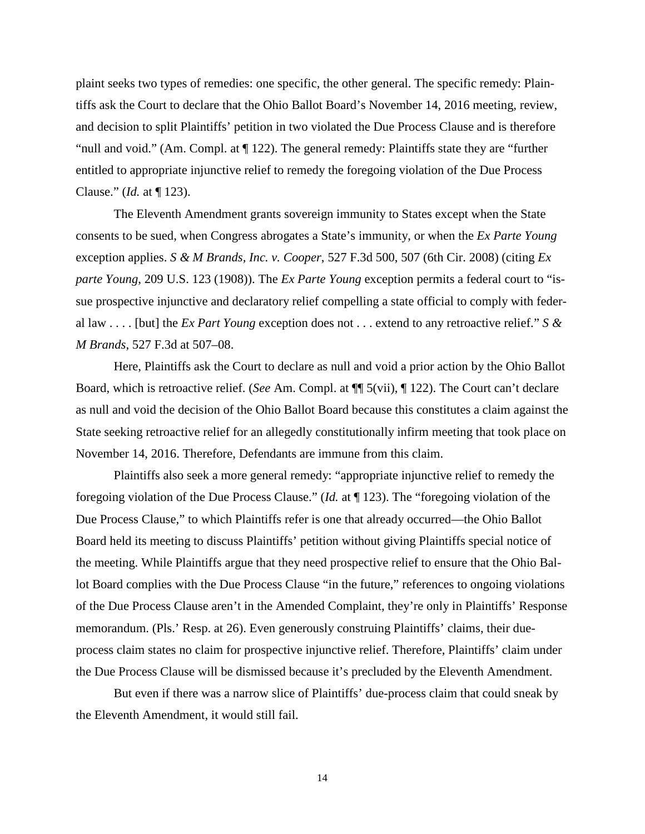plaint seeks two types of remedies: one specific, the other general. The specific remedy: Plaintiffs ask the Court to declare that the Ohio Ballot Board's November 14, 2016 meeting, review, and decision to split Plaintiffs' petition in two violated the Due Process Clause and is therefore "null and void." (Am. Compl. at ¶ 122). The general remedy: Plaintiffs state they are "further entitled to appropriate injunctive relief to remedy the foregoing violation of the Due Process Clause." (*Id.* at ¶ 123).

 The Eleventh Amendment grants sovereign immunity to States except when the State consents to be sued, when Congress abrogates a State's immunity, or when the *Ex Parte Young* exception applies. *S & M Brands, Inc. v. Cooper*, 527 F.3d 500, 507 (6th Cir. 2008) (citing *Ex parte Young*, 209 U.S. 123 (1908)). The *Ex Parte Young* exception permits a federal court to "issue prospective injunctive and declaratory relief compelling a state official to comply with federal law . . . . [but] the *Ex Part Young* exception does not . . . extend to any retroactive relief." *S & M Brands*, 527 F.3d at 507–08.

 Here, Plaintiffs ask the Court to declare as null and void a prior action by the Ohio Ballot Board, which is retroactive relief. (*See* Am. Compl. at ¶¶ 5(vii), ¶ 122). The Court can't declare as null and void the decision of the Ohio Ballot Board because this constitutes a claim against the State seeking retroactive relief for an allegedly constitutionally infirm meeting that took place on November 14, 2016. Therefore, Defendants are immune from this claim.

Plaintiffs also seek a more general remedy: "appropriate injunctive relief to remedy the foregoing violation of the Due Process Clause." (*Id.* at ¶ 123). The "foregoing violation of the Due Process Clause," to which Plaintiffs refer is one that already occurred—the Ohio Ballot Board held its meeting to discuss Plaintiffs' petition without giving Plaintiffs special notice of the meeting. While Plaintiffs argue that they need prospective relief to ensure that the Ohio Ballot Board complies with the Due Process Clause "in the future," references to ongoing violations of the Due Process Clause aren't in the Amended Complaint, they're only in Plaintiffs' Response memorandum. (Pls.' Resp. at 26). Even generously construing Plaintiffs' claims, their dueprocess claim states no claim for prospective injunctive relief. Therefore, Plaintiffs' claim under the Due Process Clause will be dismissed because it's precluded by the Eleventh Amendment.

But even if there was a narrow slice of Plaintiffs' due-process claim that could sneak by the Eleventh Amendment, it would still fail.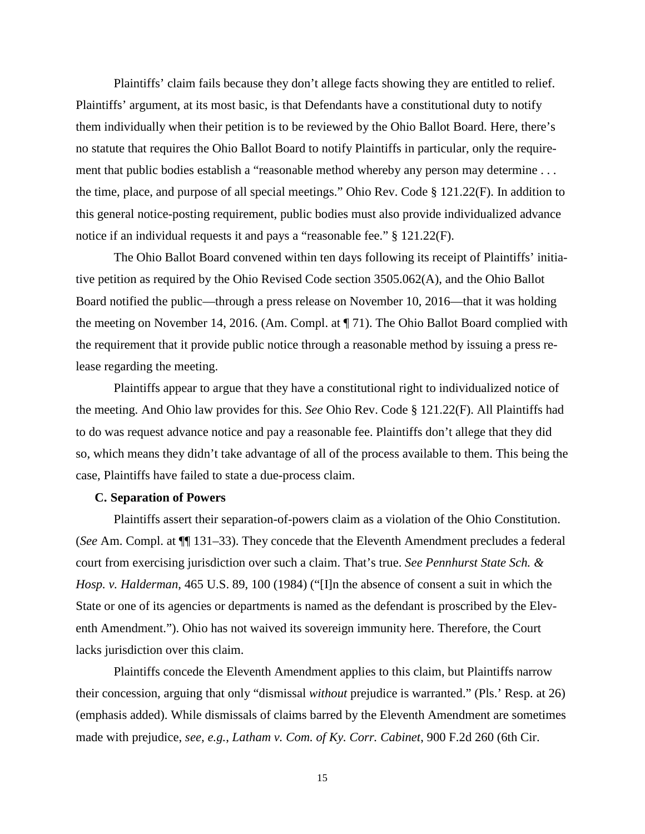Plaintiffs' claim fails because they don't allege facts showing they are entitled to relief. Plaintiffs' argument, at its most basic, is that Defendants have a constitutional duty to notify them individually when their petition is to be reviewed by the Ohio Ballot Board. Here, there's no statute that requires the Ohio Ballot Board to notify Plaintiffs in particular, only the requirement that public bodies establish a "reasonable method whereby any person may determine . . . the time, place, and purpose of all special meetings." Ohio Rev. Code § 121.22(F). In addition to this general notice-posting requirement, public bodies must also provide individualized advance notice if an individual requests it and pays a "reasonable fee." § 121.22(F).

 The Ohio Ballot Board convened within ten days following its receipt of Plaintiffs' initiative petition as required by the Ohio Revised Code section 3505.062(A), and the Ohio Ballot Board notified the public—through a press release on November 10, 2016—that it was holding the meeting on November 14, 2016. (Am. Compl. at ¶ 71). The Ohio Ballot Board complied with the requirement that it provide public notice through a reasonable method by issuing a press release regarding the meeting.

Plaintiffs appear to argue that they have a constitutional right to individualized notice of the meeting. And Ohio law provides for this. *See* Ohio Rev. Code § 121.22(F). All Plaintiffs had to do was request advance notice and pay a reasonable fee. Plaintiffs don't allege that they did so, which means they didn't take advantage of all of the process available to them. This being the case, Plaintiffs have failed to state a due-process claim.

# **C. Separation of Powers**

Plaintiffs assert their separation-of-powers claim as a violation of the Ohio Constitution. (*See* Am. Compl. at ¶¶ 131–33). They concede that the Eleventh Amendment precludes a federal court from exercising jurisdiction over such a claim. That's true. *See Pennhurst State Sch. & Hosp. v. Halderman*, 465 U.S. 89, 100 (1984) ("[I]n the absence of consent a suit in which the State or one of its agencies or departments is named as the defendant is proscribed by the Eleventh Amendment."). Ohio has not waived its sovereign immunity here. Therefore, the Court lacks jurisdiction over this claim.

Plaintiffs concede the Eleventh Amendment applies to this claim, but Plaintiffs narrow their concession, arguing that only "dismissal *without* prejudice is warranted." (Pls.' Resp. at 26) (emphasis added). While dismissals of claims barred by the Eleventh Amendment are sometimes made with prejudice, *see, e.g.*, *Latham v. Com. of Ky. Corr. Cabinet*, 900 F.2d 260 (6th Cir.